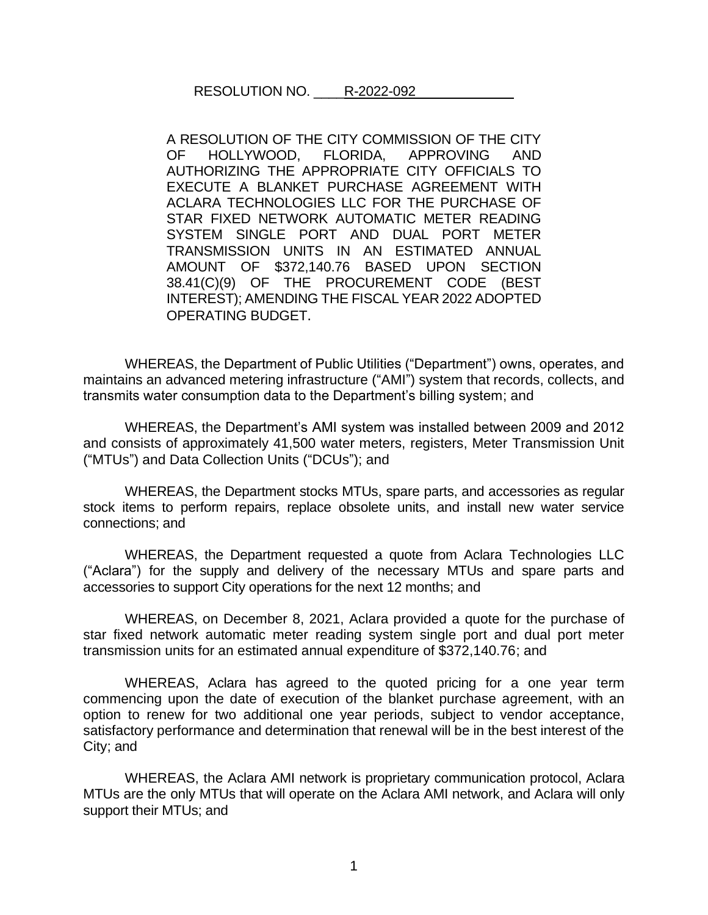## RESOLUTION NO. R-2022-092

A RESOLUTION OF THE CITY COMMISSION OF THE CITY OF HOLLYWOOD, FLORIDA, APPROVING AND AUTHORIZING THE APPROPRIATE CITY OFFICIALS TO EXECUTE A BLANKET PURCHASE AGREEMENT WITH ACLARA TECHNOLOGIES LLC FOR THE PURCHASE OF STAR FIXED NETWORK AUTOMATIC METER READING SYSTEM SINGLE PORT AND DUAL PORT METER TRANSMISSION UNITS IN AN ESTIMATED ANNUAL AMOUNT OF \$372,140.76 BASED UPON SECTION 38.41(C)(9) OF THE PROCUREMENT CODE (BEST INTEREST); AMENDING THE FISCAL YEAR 2022 ADOPTED OPERATING BUDGET.

WHEREAS, the Department of Public Utilities ("Department") owns, operates, and maintains an advanced metering infrastructure ("AMI") system that records, collects, and transmits water consumption data to the Department's billing system; and

WHEREAS, the Department's AMI system was installed between 2009 and 2012 and consists of approximately 41,500 water meters, registers, Meter Transmission Unit ("MTUs") and Data Collection Units ("DCUs"); and

WHEREAS, the Department stocks MTUs, spare parts, and accessories as regular stock items to perform repairs, replace obsolete units, and install new water service connections; and

WHEREAS, the Department requested a quote from Aclara Technologies LLC ("Aclara") for the supply and delivery of the necessary MTUs and spare parts and accessories to support City operations for the next 12 months; and

WHEREAS, on December 8, 2021, Aclara provided a quote for the purchase of star fixed network automatic meter reading system single port and dual port meter transmission units for an estimated annual expenditure of \$372,140.76; and

WHEREAS, Aclara has agreed to the quoted pricing for a one year term commencing upon the date of execution of the blanket purchase agreement, with an option to renew for two additional one year periods, subject to vendor acceptance, satisfactory performance and determination that renewal will be in the best interest of the City; and

WHEREAS, the Aclara AMI network is proprietary communication protocol, Aclara MTUs are the only MTUs that will operate on the Aclara AMI network, and Aclara will only support their MTUs; and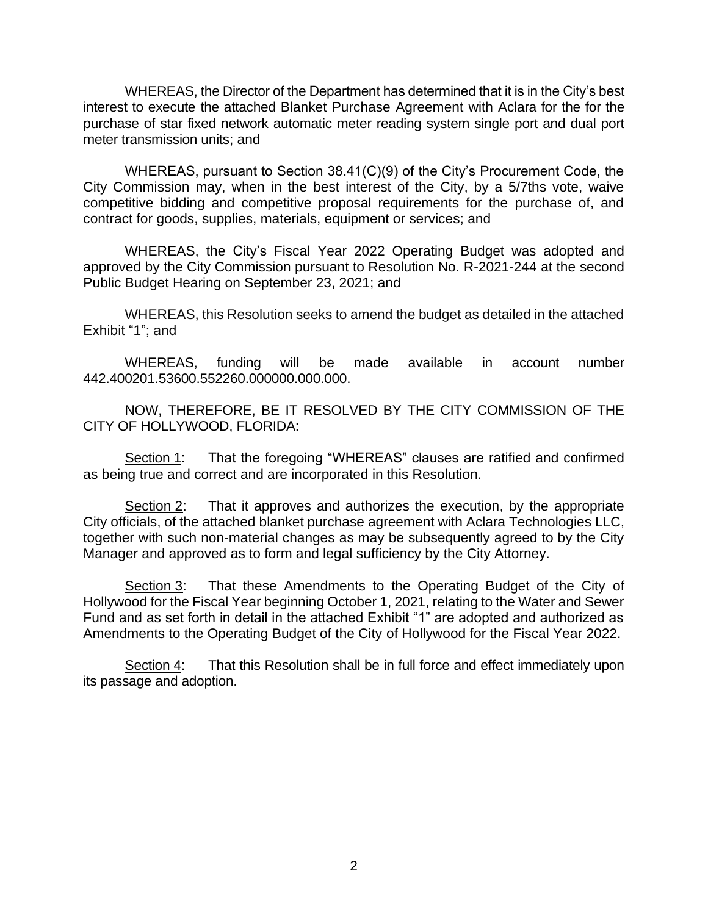WHEREAS, the Director of the Department has determined that it is in the City's best interest to execute the attached Blanket Purchase Agreement with Aclara for the for the purchase of star fixed network automatic meter reading system single port and dual port meter transmission units; and

WHEREAS, pursuant to Section 38.41(C)(9) of the City's Procurement Code, the City Commission may, when in the best interest of the City, by a 5/7ths vote, waive competitive bidding and competitive proposal requirements for the purchase of, and contract for goods, supplies, materials, equipment or services; and

WHEREAS, the City's Fiscal Year 2022 Operating Budget was adopted and approved by the City Commission pursuant to Resolution No. R-2021-244 at the second Public Budget Hearing on September 23, 2021; and

WHEREAS, this Resolution seeks to amend the budget as detailed in the attached Exhibit "1"; and

WHEREAS, funding will be made available in account number 442.400201.53600.552260.000000.000.000.

NOW, THEREFORE, BE IT RESOLVED BY THE CITY COMMISSION OF THE CITY OF HOLLYWOOD, FLORIDA:

Section 1: That the foregoing "WHEREAS" clauses are ratified and confirmed as being true and correct and are incorporated in this Resolution.

Section 2: That it approves and authorizes the execution, by the appropriate City officials, of the attached blanket purchase agreement with Aclara Technologies LLC, together with such non-material changes as may be subsequently agreed to by the City Manager and approved as to form and legal sufficiency by the City Attorney.

Section 3: That these Amendments to the Operating Budget of the City of Hollywood for the Fiscal Year beginning October 1, 2021, relating to the Water and Sewer Fund and as set forth in detail in the attached Exhibit "1" are adopted and authorized as Amendments to the Operating Budget of the City of Hollywood for the Fiscal Year 2022.

Section 4: That this Resolution shall be in full force and effect immediately upon its passage and adoption.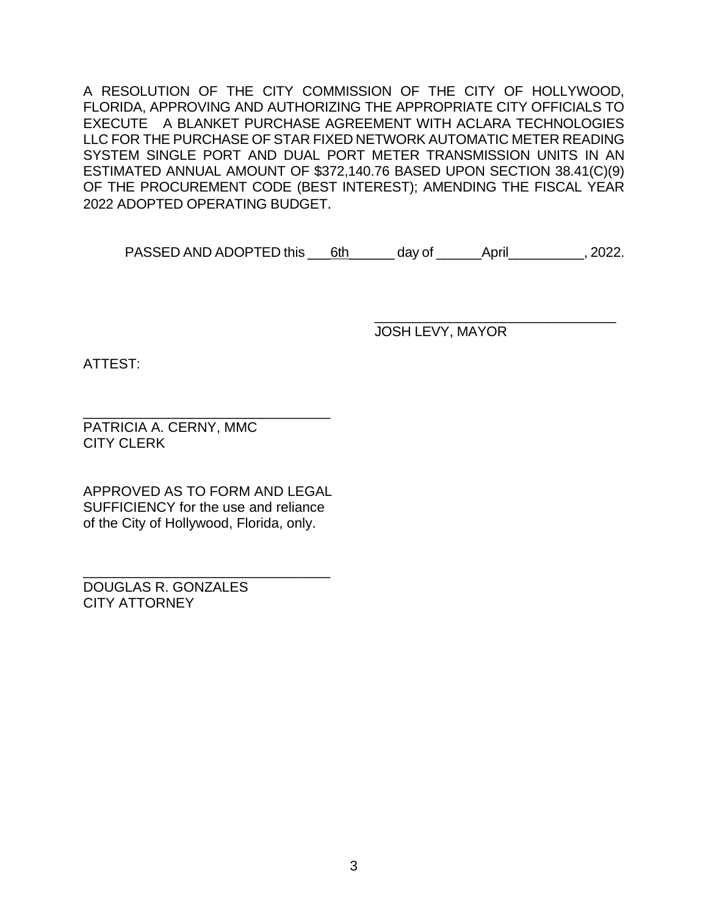A RESOLUTION OF THE CITY COMMISSION OF THE CITY OF HOLLYWOOD, FLORIDA, APPROVING AND AUTHORIZING THE APPROPRIATE CITY OFFICIALS TO EXECUTE A BLANKET PURCHASE AGREEMENT WITH ACLARA TECHNOLOGIES LLC FOR THE PURCHASE OF STAR FIXED NETWORK AUTOMATIC METER READING SYSTEM SINGLE PORT AND DUAL PORT METER TRANSMISSION UNITS IN AN ESTIMATED ANNUAL AMOUNT OF \$372,140.76 BASED UPON SECTION 38.41(C)(9) OF THE PROCUREMENT CODE (BEST INTEREST); AMENDING THE FISCAL YEAR 2022 ADOPTED OPERATING BUDGET.

PASSED AND ADOPTED this 6th day of \_\_\_\_\_\_April\_\_\_\_\_\_\_\_\_\_, 2022.

JOSH LEVY, MAYOR

\_\_\_\_\_\_\_\_\_\_\_\_\_\_\_\_\_\_\_\_\_\_\_\_\_\_\_\_\_\_\_\_

ATTEST:

\_\_\_\_\_\_\_\_\_\_\_\_\_\_\_\_\_\_\_\_\_\_\_\_\_\_\_\_\_\_\_\_ PATRICIA A. CERNY, MMC CITY CLERK

APPROVED AS TO FORM AND LEGAL SUFFICIENCY for the use and reliance of the City of Hollywood, Florida, only.

\_\_\_\_\_\_\_\_\_\_\_\_\_\_\_\_\_\_\_\_\_\_\_\_\_\_\_\_\_\_\_\_

DOUGLAS R. GONZALES CITY ATTORNEY